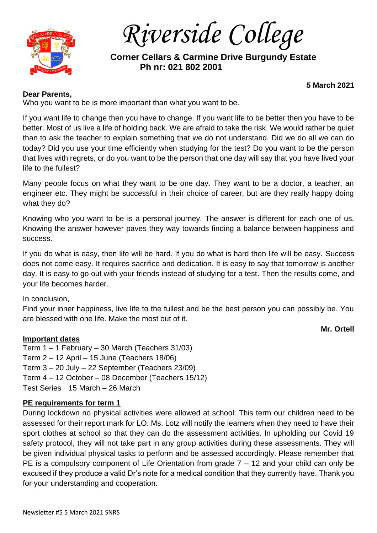

 *Riverside College*

 **Corner Cellars & Carmine Drive Burgundy Estate Ph nr: 021 802 2001**

### **Dear Parents,**

**5 March 2021**

Who you want to be is more important than what you want to be.

If you want life to change then you have to change. If you want life to be better then you have to be better. Most of us live a life of holding back. We are afraid to take the risk. We would rather be quiet than to ask the teacher to explain something that we do not understand. Did we do all we can do today? Did you use your time efficiently when studying for the test? Do you want to be the person that lives with regrets, or do you want to be the person that one day will say that you have lived your life to the fullest?

Many people focus on what they want to be one day. They want to be a doctor, a teacher, an engineer etc. They might be successful in their choice of career, but are they really happy doing what they do?

Knowing who you want to be is a personal journey. The answer is different for each one of us. Knowing the answer however paves they way towards finding a balance between happiness and success.

If you do what is easy, then life will be hard. If you do what is hard then life will be easy. Success does not come easy. It requires sacrifice and dedication. It is easy to say that tomorrow is another day. It is easy to go out with your friends instead of studying for a test. Then the results come, and your life becomes harder.

### In conclusion,

Find your inner happiness, live life to the fullest and be the best person you can possibly be. You are blessed with one life. Make the most out of it.

#### **Mr. Ortell**

**Important dates** Term 1 – 1 February – 30 March (Teachers 31/03) Term 2 – 12 April – 15 June (Teachers 18/06) Term 3 – 20 July – 22 September (Teachers 23/09) Term 4 – 12 October – 08 December (Teachers 15/12) Test Series 15 March – 26 March

### **PE requirements for term 1**

During lockdown no physical activities were allowed at school. This term our children need to be assessed for their report mark for LO. Ms. Lotz will notify the learners when they need to have their sport clothes at school so that they can do the assessment activities. In upholding our Covid 19 safety protocol, they will not take part in any group activities during these assessments. They will be given individual physical tasks to perform and be assessed accordingly. Please remember that PE is a compulsory component of Life Orientation from grade  $7 - 12$  and your child can only be excused if they produce a valid Dr's note for a medical condition that they currently have. Thank you for your understanding and cooperation.